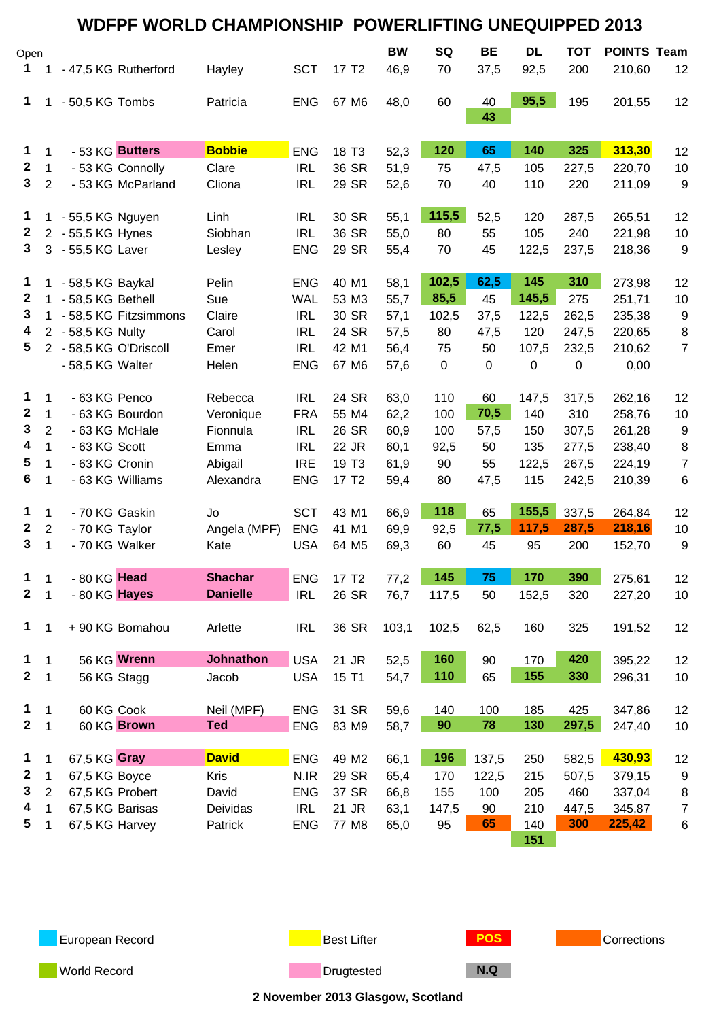|                  |                |                        | <b>WDFPF WORLD CHAMPIONSHIP POWERLIFTING UNEQUIPPED 2013</b> |            |                   |                   |             |                   |                   |                   |                              |                  |
|------------------|----------------|------------------------|--------------------------------------------------------------|------------|-------------------|-------------------|-------------|-------------------|-------------------|-------------------|------------------------------|------------------|
| Open<br>1.       |                | - 47,5 KG Rutherford   | Hayley                                                       | <b>SCT</b> | 17 T <sub>2</sub> | <b>BW</b><br>46,9 | SQ<br>70    | <b>BE</b><br>37,5 | <b>DL</b><br>92,5 | <b>TOT</b><br>200 | <b>POINTS Team</b><br>210,60 | 12               |
| 1                |                | - 50,5 KG Tombs        | Patricia                                                     | <b>ENG</b> | 67 M6             | 48,0              | 60          | 40<br>43          | 95,5              | 195               | 201,55                       | 12               |
|                  |                |                        |                                                              |            |                   |                   |             |                   |                   |                   |                              |                  |
| 1                | $\mathbf 1$    | - 53 KG Butters        | <b>Bobbie</b>                                                | <b>ENG</b> | 18 T <sub>3</sub> | 52,3              | 120         | 65                | 140               | 325               | 313,30                       | 12               |
| $\mathbf{2}$     | $\mathbf{1}$   | - 53 KG Connolly       | Clare                                                        | <b>IRL</b> | 36 SR             | 51,9              | 75          | 47,5              | 105               | 227,5             | 220,70                       | 10               |
| $\mathbf{3}$     | $\overline{2}$ | - 53 KG McParland      | Cliona                                                       | <b>IRL</b> | 29 SR             | 52,6              | 70          | 40                | 110               | 220               | 211,09                       | 9                |
| 1                | $\mathbf 1$    | - 55,5 KG Nguyen       | Linh                                                         | <b>IRL</b> | 30 SR             | 55,1              | 115,5       | 52,5              | 120               | 287,5             | 265,51                       | 12               |
| $\mathbf{2}$     |                | 2 - 55,5 KG Hynes      | Siobhan                                                      | <b>IRL</b> | 36 SR             | 55,0              | 80          | 55                | 105               | 240               | 221,98                       | 10               |
| 3                |                | 3 - 55,5 KG Laver      | Lesley                                                       | <b>ENG</b> | 29 SR             | 55,4              | 70          | 45                | 122,5             | 237,5             | 218,36                       | 9                |
| 1                | 1              | - 58,5 KG Baykal       | Pelin                                                        | <b>ENG</b> | 40 M1             | 58,1              | 102,5       | 62,5              | 145               | 310               | 273,98                       | 12               |
| 2                | $\mathbf 1$    | - 58,5 KG Bethell      | Sue                                                          | <b>WAL</b> | 53 M3             | 55,7              | 85,5        | 45                | 145,5             | 275               | 251,71                       | 10               |
| 3                |                | - 58,5 KG Fitzsimmons  | Claire                                                       | <b>IRL</b> | 30 SR             | 57,1              | 102,5       | 37,5              | 122,5             | 262,5             | 235,38                       | 9                |
| 4                |                | 2 - 58,5 KG Nulty      | Carol                                                        | <b>IRL</b> | 24 SR             | 57,5              | 80          | 47,5              | 120               | 247,5             | 220,65                       | $\bf 8$          |
| 5                |                | 2 - 58,5 KG O'Driscoll | Emer                                                         | <b>IRL</b> | 42 M1             | 56,4              | 75          | 50                | 107,5             | 232,5             | 210,62                       | $\overline{7}$   |
|                  |                | - 58,5 KG Walter       | Helen                                                        | <b>ENG</b> | 67 M6             | 57,6              | $\mathbf 0$ | 0                 | $\pmb{0}$         | 0                 | 0,00                         |                  |
| 1                | $\mathbf 1$    | - 63 KG Penco          | Rebecca                                                      | <b>IRL</b> | 24 SR             | 63,0              | 110         | 60                | 147,5             | 317,5             | 262,16                       | 12               |
| $\boldsymbol{2}$ | $\mathbf 1$    | - 63 KG Bourdon        | Veronique                                                    | <b>FRA</b> | 55 M4             | 62,2              | 100         | 70,5              | 140               | 310               | 258,76                       | 10               |
| 3                | $\overline{2}$ | - 63 KG McHale         | Fionnula                                                     | <b>IRL</b> | 26 SR             | 60,9              | 100         | 57,5              | 150               | 307,5             | 261,28                       | 9                |
| 4                | $\mathbf{1}$   | - 63 KG Scott          | Emma                                                         | <b>IRL</b> | 22 JR             | 60,1              | 92,5        | 50                | 135               | 277,5             | 238,40                       | 8                |
| 5                | $\mathbf 1$    | - 63 KG Cronin         | Abigail                                                      | <b>IRE</b> | 19 T <sub>3</sub> | 61,9              | 90          | 55                | 122,5             | 267,5             | 224,19                       | $\boldsymbol{7}$ |
| 6                | 1              | - 63 KG Williams       | Alexandra                                                    | <b>ENG</b> | 17 T <sub>2</sub> | 59,4              | 80          | 47,5              | 115               | 242,5             | 210,39                       | 6                |
| $\mathbf{1}$     | $\mathbf 1$    | - 70 KG Gaskin         | Jo                                                           | <b>SCT</b> | 43 M1             | 66,9              | 118         | 65                | 155,5             | 337,5             | 264,84                       | 12               |
| $\mathbf{2}$     | $\overline{2}$ | - 70 KG Taylor         | Angela (MPF)                                                 | <b>ENG</b> | 41 M1             | 69,9              | 92,5        | 77,5              | 117,5             | 287,5             | 218,16                       | 10               |
| 3                | $\mathbf{1}$   | - 70 KG Walker         | Kate                                                         | <b>USA</b> | 64 M5             | 69,3              | 60          | 45                | 95                | 200               | 152,70                       | 9                |
| 1                | $\mathbf{1}$   | - 80 KG Head           | <b>Shachar</b>                                               | <b>ENG</b> | 17 T <sub>2</sub> | 77,2              | 145         | 75                | 170               | 390               | 275,61                       | 12               |
| $\mathbf{2}$     | $\mathbf{1}$   | - 80 KG Hayes          | <b>Danielle</b>                                              | <b>IRL</b> | 26 SR             | 76,7              | 117,5       | 50                | 152,5             | 320               | 227,20                       | 10               |
| $\mathbf 1$      | 1              | +90 KG Bomahou         | Arlette                                                      | <b>IRL</b> | 36 SR             | 103,1             | 102,5       | 62,5              | 160               | 325               | 191,52                       | 12               |
| 1                | $\mathbf{1}$   | 56 KG Wrenn            | <b>Johnathon</b>                                             | <b>USA</b> | 21 JR             | 52,5              | 160         | 90                | 170               | 420               | 395,22                       | 12               |
| $\mathbf{2}$     | 1              | 56 KG Stagg            | Jacob                                                        | <b>USA</b> | 15 T1             | 54,7              | 110         | 65                | 155               | 330               | 296,31                       | 10               |
| $\mathbf{1}$     | $\mathbf{1}$   | 60 KG Cook             | Neil (MPF)                                                   | <b>ENG</b> | 31 SR             | 59,6              | 140         | 100               | 185               | 425               | 347,86                       | 12               |
| $\mathbf{2}$     | $\mathbf{1}$   | 60 KG Brown            | <b>Ted</b>                                                   | <b>ENG</b> | 83 M9             | 58,7              | 90          | 78                | 130               | 297,5             | 247,40                       | 10               |
| $\mathbf{1}$     | 1              | 67,5 KG Gray           | <b>David</b>                                                 | <b>ENG</b> | 49 M2             | 66,1              | 196         | 137,5             | 250               | 582,5             | 430,93                       | 12               |
| $\mathbf{2}$     | $\mathbf 1$    | 67,5 KG Boyce          | <b>Kris</b>                                                  | N.IR       | 29 SR             | 65,4              | 170         | 122,5             | 215               | 507,5             | 379,15                       | 9                |
| 3                | $\overline{2}$ | 67,5 KG Probert        | David                                                        | <b>ENG</b> | 37 SR             | 66,8              | 155         | 100               | 205               | 460               | 337,04                       | 8                |
| 4                | $\mathbf 1$    | 67,5 KG Barisas        | Deividas                                                     | <b>IRL</b> | 21 JR             | 63,1              | 147,5       | 90                | 210               | 447,5             | 345,87                       | $\overline{7}$   |
| 5                | 1              | 67,5 KG Harvey         | Patrick                                                      | <b>ENG</b> | 77 M8             | 65,0              | 95          | 65                | 140<br>151        | 300               | 225,42                       | $\,6\,$          |



**World Record Community Community Community Properties Community Drugtested N.Q** 

**2 November 2013 Glasgow, Scotland**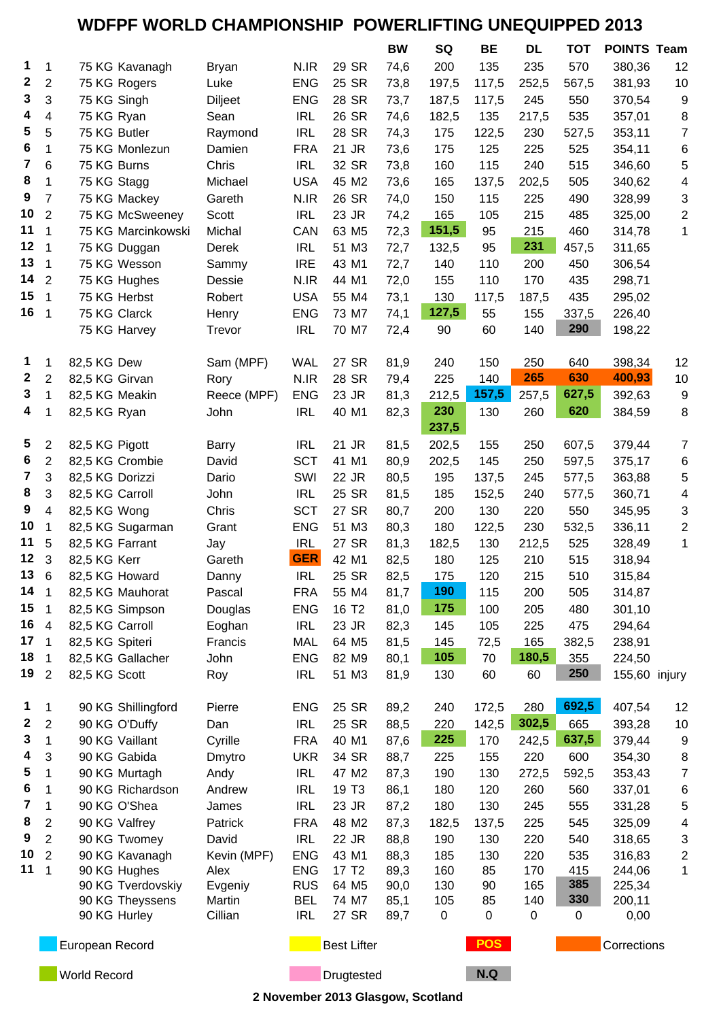## **WDFPF WORLD CHAMPIONSHIP POWERLIFTING UNEQUIPPED 2013**

|                         |                                  |                    |                |                    |                   | BW   | SQ           | <b>BE</b> | <b>DL</b>   | <b>TOT</b>  | <b>POINTS Team</b> |                           |
|-------------------------|----------------------------------|--------------------|----------------|--------------------|-------------------|------|--------------|-----------|-------------|-------------|--------------------|---------------------------|
| 1                       | 1                                | 75 KG Kavanagh     | <b>Bryan</b>   | N.IR               | 29 SR             | 74,6 | 200          | 135       | 235         | 570         | 380,36             | 12                        |
| $\mathbf{2}$            | $\overline{c}$                   | 75 KG Rogers       | Luke           | <b>ENG</b>         | 25 SR             | 73,8 | 197,5        | 117,5     | 252,5       | 567,5       | 381,93             | 10                        |
| 3                       | 3                                | 75 KG Singh        | <b>Diljeet</b> | <b>ENG</b>         | 28 SR             | 73,7 | 187,5        | 117,5     | 245         | 550         | 370,54             | 9                         |
| 4                       | 4                                | 75 KG Ryan         | Sean           | <b>IRL</b>         | 26 SR             | 74,6 | 182,5        | 135       | 217,5       | 535         | 357,01             | 8                         |
| 5                       | 5                                | 75 KG Butler       | Raymond        | <b>IRL</b>         | 28 SR             | 74,3 | 175          | 122,5     | 230         | 527,5       | 353,11             | $\overline{7}$            |
| 6                       | 1                                | 75 KG Monlezun     | Damien         | <b>FRA</b>         | 21 JR             | 73,6 | 175          | 125       | 225         | 525         | 354,11             | 6                         |
| $\overline{\mathbf{z}}$ | 6                                | 75 KG Burns        | Chris          | <b>IRL</b>         | 32 SR             | 73,8 | 160          | 115       | 240         | 515         | 346,60             | 5                         |
| 8                       | 1                                | 75 KG Stagg        | Michael        | <b>USA</b>         | 45 M2             | 73,6 | 165          | 137,5     | 202,5       | 505         | 340,62             | 4                         |
| 9                       | $\overline{7}$                   | 75 KG Mackey       | Gareth         | N.IR               | 26 SR             | 74,0 | 150          | 115       | 225         | 490         | 328,99             | 3                         |
| 10                      | $\overline{2}$                   | 75 KG McSweeney    | Scott          | <b>IRL</b>         | 23 JR             | 74,2 | 165          | 105       | 215         | 485         | 325,00             | $\mathbf{2}$              |
| 11                      | $\mathbf{1}$                     | 75 KG Marcinkowski | Michal         | CAN                | 63 M <sub>5</sub> | 72,3 | 151,5        | 95        | 215         | 460         | 314,78             | $\mathbf{1}$              |
| 12                      | $\mathbf 1$                      | 75 KG Duggan       | Derek          | <b>IRL</b>         | 51 M3             | 72,7 | 132,5        | 95        | 231         | 457,5       | 311,65             |                           |
| 13                      | $\mathbf 1$                      | 75 KG Wesson       | Sammy          | <b>IRE</b>         | 43 M1             | 72,7 | 140          | 110       | 200         | 450         | 306,54             |                           |
| 14                      | $\overline{2}$                   | 75 KG Hughes       | Dessie         | N.IR               | 44 M1             | 72,0 | 155          | 110       | 170         | 435         | 298,71             |                           |
| 15                      | $\mathbf{1}$                     | 75 KG Herbst       | Robert         | <b>USA</b>         | 55 M4             | 73,1 | 130          | 117,5     | 187,5       | 435         | 295,02             |                           |
| 16                      | $\overline{1}$                   | 75 KG Clarck       | Henry          | <b>ENG</b>         | 73 M7             | 74,1 | 127,5        | 55        | 155         | 337,5       | 226,40             |                           |
|                         |                                  | 75 KG Harvey       | Trevor         | <b>IRL</b>         | 70 M7             | 72,4 | 90           | 60        | 140         | 290         | 198,22             |                           |
|                         |                                  |                    |                |                    |                   |      |              |           |             |             |                    |                           |
| 1                       | 1                                | 82,5 KG Dew        | Sam (MPF)      | <b>WAL</b>         | 27 SR             | 81,9 | 240          | 150       | 250         | 640         | 398,34             | 12                        |
| $\boldsymbol{2}$        | $\overline{c}$                   | 82,5 KG Girvan     | Rory           | N.IR               | 28 SR             | 79,4 | 225          | 140       | 265         | 630         | 400,93             | 10                        |
| 3                       | 1                                | 82,5 KG Meakin     | Reece (MPF)    | ENG                | 23 JR             | 81,3 | 212,5        | 157,5     | 257,5       | 627,5       | 392,63             | 9                         |
| 4                       | 1                                | 82,5 KG Ryan       | John           | <b>IRL</b>         | 40 M1             | 82,3 | 230<br>237,5 | 130       | 260         | 620         | 384,59             | 8                         |
| $\overline{\mathbf{5}}$ | $\overline{c}$                   | 82,5 KG Pigott     | Barry          | <b>IRL</b>         | 21 JR             | 81,5 | 202,5        | 155       | 250         | 607,5       | 379,44             | $\overline{7}$            |
| 6                       | $\overline{2}$                   | 82,5 KG Crombie    | David          | <b>SCT</b>         | 41 M1             | 80,9 | 202,5        | 145       | 250         | 597,5       | 375,17             | 6                         |
| $\overline{7}$          | 3                                | 82,5 KG Dorizzi    | Dario          | SWI                | 22 JR             | 80,5 | 195          | 137,5     | 245         | 577,5       | 363,88             | 5                         |
| 8                       | 3                                | 82,5 KG Carroll    | John           | <b>IRL</b>         | 25 SR             | 81,5 | 185          | 152,5     | 240         | 577,5       | 360,71             | 4                         |
| $\boldsymbol{9}$        | 4                                | 82,5 KG Wong       | Chris          | <b>SCT</b>         | 27 SR             | 80,7 | 200          | 130       | 220         | 550         | 345,95             | $\ensuremath{\mathsf{3}}$ |
| 10                      | 1                                | 82,5 KG Sugarman   | Grant          | <b>ENG</b>         | 51 M3             | 80,3 | 180          | 122,5     | 230         | 532,5       | 336,11             | $\mathbf{2}$              |
| 11                      | 5                                | 82,5 KG Farrant    | Jay            | <b>IRL</b>         | 27 SR             | 81,3 | 182,5        | 130       | 212,5       | 525         | 328,49             | $\mathbf{1}$              |
| 12                      | 3                                | 82,5 KG Kerr       | Gareth         | <b>GER</b>         | 42 M1             | 82,5 | 180          | 125       | 210         | 515         | 318,94             |                           |
| 13                      | $6\phantom{1}6$                  | 82,5 KG Howard     | Danny          | <b>IRL</b>         | 25 SR             | 82,5 | 175          | 120       | 215         | 510         | 315,84             |                           |
| 14                      | $\mathbf 1$                      | 82,5 KG Mauhorat   | Pascal         | <b>FRA</b>         | 55 M4             | 81,7 | 190          | 115       | 200         | 505         | 314,87             |                           |
| 15                      | 1                                | 82,5 KG Simpson    | Douglas        | <b>ENG</b>         | 16 T <sub>2</sub> | 81,0 | 175          | 100       | 205         | 480         | 301,10             |                           |
| 16                      | $\overline{4}$                   | 82,5 KG Carroll    | Eoghan         | <b>IRL</b>         | 23 JR             | 82,3 | 145          | 105       | 225         | 475         | 294,64             |                           |
| 17                      | $\mathbf 1$                      | 82,5 KG Spiteri    | Francis        | <b>MAL</b>         | 64 M5             | 81,5 | 145          | 72,5      | 165         | 382,5       | 238,91             |                           |
| 18<br>19                | $\overline{1}$<br>$\overline{2}$ | 82,5 KG Gallacher  | John           | <b>ENG</b>         | 82 M9             | 80,1 | 105          | 70        | 180,5       | 355<br>250  | 224,50             |                           |
|                         |                                  | 82,5 KG Scott      | Roy            | <b>IRL</b>         | 51 M3             | 81,9 | 130          | 60        | 60          |             | 155,60 injury      |                           |
| 1                       | 1                                | 90 KG Shillingford | Pierre         | <b>ENG</b>         | 25 SR             | 89,2 | 240          | 172,5     | 280         | 692,5       | 407,54             | 12                        |
| $\boldsymbol{2}$        | 2                                | 90 KG O'Duffy      | Dan            | <b>IRL</b>         | 25 SR             | 88,5 | 220          | 142,5     | 302,5       | 665         | 393,28             | 10                        |
| 3                       | 1                                | 90 KG Vaillant     | Cyrille        | <b>FRA</b>         | 40 M1             | 87,6 | 225          | 170       | 242,5       | 637,5       | 379,44             | 9                         |
| 4                       | 3                                | 90 KG Gabida       | Dmytro         | <b>UKR</b>         | 34 SR             | 88,7 | 225          | 155       | 220         | 600         | 354,30             | 8                         |
| 5                       | 1                                | 90 KG Murtagh      | Andy           | <b>IRL</b>         | 47 M2             | 87,3 | 190          | 130       | 272,5       | 592,5       | 353,43             | $\overline{7}$            |
| 6                       | 1                                | 90 KG Richardson   | Andrew         | <b>IRL</b>         | 19 T <sub>3</sub> | 86,1 | 180          | 120       | 260         | 560         | 337,01             | 6                         |
| 7                       | 1                                | 90 KG O'Shea       | James          | <b>IRL</b>         | 23 JR             | 87,2 | 180          | 130       | 245         | 555         | 331,28             | 5                         |
| 8                       | 2                                | 90 KG Valfrey      | Patrick        | <b>FRA</b>         | 48 M2             | 87,3 | 182,5        | 137,5     | 225         | 545         | 325,09             | $\overline{4}$            |
| 9                       | $\overline{2}$                   | 90 KG Twomey       | David          | <b>IRL</b>         | 22 JR             | 88,8 | 190          | 130       | 220         | 540         | 318,65             | $\sqrt{3}$                |
| 10                      | $\overline{2}$                   | 90 KG Kavanagh     | Kevin (MPF)    | <b>ENG</b>         | 43 M1             | 88,3 | 185          | 130       | 220         | 535         | 316,83             | $\overline{2}$            |
| 11                      | 1                                | 90 KG Hughes       | Alex           | <b>ENG</b>         | 17 T <sub>2</sub> | 89,3 | 160          | 85        | 170         | 415         | 244,06             | $\mathbf{1}$              |
|                         |                                  | 90 KG Tverdovskiy  | Evgeniy        | <b>RUS</b>         | 64 M <sub>5</sub> | 90,0 | 130          | 90        | 165         | 385         | 225,34             |                           |
|                         |                                  | 90 KG Theyssens    | Martin         | <b>BEL</b>         | 74 M7             | 85,1 | 105          | 85        | 140         | 330         | 200,11             |                           |
|                         |                                  | 90 KG Hurley       | Cillian        | <b>IRL</b>         | 27 SR             | 89,7 | 0            | 0         | $\mathbf 0$ | 0           | 0,00               |                           |
|                         |                                  | European Record    |                | <b>Best Lifter</b> |                   |      |              |           |             | Corrections |                    |                           |
|                         | <b>World Record</b>              |                    |                |                    | Drugtested        |      |              | N.Q       |             |             |                    |                           |

**2 November 2013 Glasgow, Scotland**